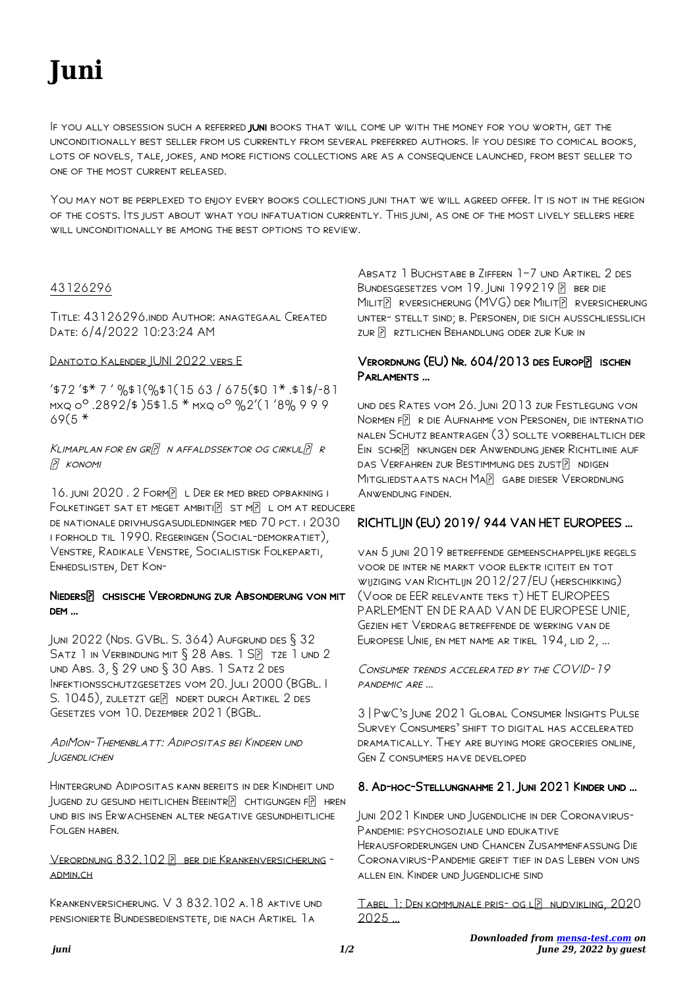# **Juni**

IF YOU ALLY OBSESSION SUCH A REFERRED JUNI BOOKS THAT WILL COME UP WITH THE MONEY FOR YOU WORTH, GET THE unconditionally best seller from us currently from several preferred authors. If you desire to comical books, lots of novels, tale, jokes, and more fictions collections are as a consequence launched, from best seller to one of the most current released.

You may not be perplexed to enjoy every books collections juni that we will agreed offer. It is not in the region of the costs. Its just about what you infatuation currently. This juni, as one of the most lively sellers here will unconditionally be among the best options to review.

## 43126296

Title: 43126296.indd Author: anagtegaal Created Date: 6/4/2022 10:23:24 AM

#### Dantoto Kalender JUNI 2022 vers E

 $4572$  '\$\* 7 ' %\$1(%\$1(15 63 / 675(\$0 1\* .\$1\$/-81) mxq oº .2892/\$ )5\$1.5 \* mxq oº %2'(1 '8% 9 9 9  $69(5*$ 

KLIMAPLAN FOR EN GR $\boxed{P}$  N AFFALDSSEKTOR OG CIRKUL $\boxed{P}$  R P KONOMI

16. JUNI 2020. 2 FORMP L DER ER MED BRED OPBAKNING I FOLKETINGET SAT ET MEGET AMBITIP ST MP L OM AT REDUCERE de nationale drivhusgasudledninger med 70 pct. i 2030 i forhold til 1990. Regeringen (Social-demokratiet), Venstre, Radikale Venstre, Socialistisk Folkeparti, Enhedslisten, Det Kon-

#### NIEDERSP CHSISCHE VERORDNUNG ZUR ABSONDERUNG VON MIT dem …

Juni 2022 (Nds. GVBl. S. 364) Aufgrund des § 32 SATZ 1 IN VERBINDUNG MIT § 28 ABS. 1 SP TZE 1 UND 2 und Abs. 3, § 29 und § 30 Abs. 1 Satz 2 des INFEKTIONSSCHUTZGESETZES VOM 20. JULI 2000 (BGBL. I S. 1045), ZULETZT GEP NDERT DURCH ARTIKEL 2 DES Gesetzes vom 10. Dezember 2021 (BGBl.

#### AdiMon-Themenblatt: Adipositas bei Kindern und Jugendlichen

Hintergrund Adipositas kann bereits in der Kindheit und JUGEND ZU GESUND HEITLICHEN BEEINTREIE CHTIGUNGEN FIREN und bis ins Erwachsenen alter negative gesundheitliche Folgen haben.

### VERORDNUNG 832.102 P BER DIE KRANKENVERSICHERUNG admin.ch

Krankenversicherung. V 3 832.102 a.18 aktive und pensionierte Bundesbedienstete, die nach Artikel 1a

Absatz 1 Buchstabe b Ziffern 1–7 und Artikel 2 des BUNDESGESETZES VOM 19. JUNI 199219 BBR DIE MILITP RVERSICHERUNG (MVG) DER MILITP RVERSICHERUNG unter- stellt sind; b. Personen, die sich ausschliesslich zur P rztlichen Behandlung oder zur Kur in

## VERORDNUNG (EU) NR. 604/2013 DES EUROPE ISCHEN Parlaments …

und des Rates vom 26. Juni 2013 zur Festlegung von Normen FP R die Aufnahme von Personen, die internatio nalen Schutz beantragen (3) sollte vorbehaltlich der EIN SCHR ? NKUNGEN DER ANWENDUNG JENER RICHTLINIE AUF das Verfahren zur Bestimmung des zust $\overline{P}$  ndigen MITGLIEDSTAATS NACH MA**P** GABE DIESER VERORDNUNG Anwendung finden.

## RICHTLIJN (EU) 2019/ 944 VAN HET EUROPEES …

van 5 juni 2019 betreffende gemeenschappelijke regels voor de inter ne markt voor elektr iciteit en tot wijziging van Richtlijn 2012/27/EU (herschikking) (Voor de EER relevante teks t) HET EUROPEES PARLEMENT EN DE RAAD VAN DE EUROPESE UNIE, Gezien het Verdrag betreffende de werking van de Europese Unie, en met name ar tikel 194, lid 2, ...

Consumer trends accelerated by the COVID-19 pandemic are …

3 | PwC's June 2021 Global Consumer Insights Pulse Survey Consumers' shift to digital has accelerated dramatically. They are buying more groceries online, Gen Z consumers have developed

## 8. Ad-hoc-Stellungnahme 21. Juni 2021 Kinder und …

Juni 2021 Kinder und Jugendliche in der Coronavirus-Pandemie: psychosoziale und edukative

Herausforderungen und Chancen Zusammenfassung Die Coronavirus-Pandemie greift tief in das Leben von uns allen ein. Kinder und Jugendliche sind

TABEL 1: DEN KOMMUNALE PRIS- OG LE NUDVIKLING, 2020 2025 …